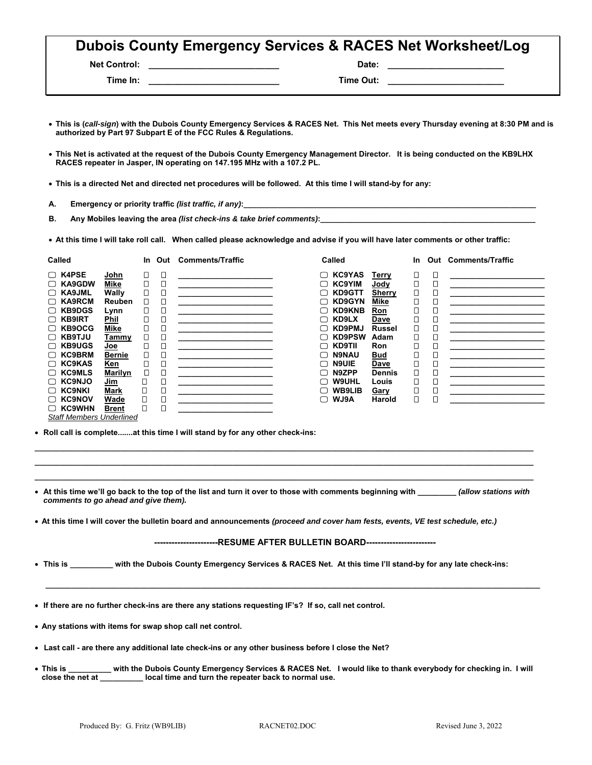| <b>Dubois County Emergency Services &amp; RACES Net Worksheet/Log</b> |  |
|-----------------------------------------------------------------------|--|
|-----------------------------------------------------------------------|--|

**Net Control: \_\_\_\_\_\_\_\_\_\_\_\_\_\_\_\_\_\_\_\_\_\_\_\_\_\_\_ Date: \_\_\_\_\_\_\_\_\_\_\_\_\_\_\_\_\_\_\_\_\_\_\_\_** 

 **Time In: \_\_\_\_\_\_\_\_\_\_\_\_\_\_\_\_\_\_\_\_\_\_\_\_\_\_\_ Time Out: \_\_\_\_\_\_\_\_\_\_\_\_\_\_\_\_\_\_\_\_\_\_\_\_** 

 **This is (***call-sign***) with the Dubois County Emergency Services & RACES Net. This Net meets every Thursday evening at 8:30 PM and is authorized by Part 97 Subpart E of the FCC Rules & Regulations.** 

- **This Net is activated at the request of the Dubois County Emergency Management Director. It is being conducted on the KB9LHX RACES repeater in Jasper, IN operating on 147.195 MHz with a 107.2 PL.**
- **This is a directed Net and directed net procedures will be followed. At this time I will stand-by for any:**
- A. Emergency or priority traffic *(list traffic, if any)*:

**B. Any Mobiles leaving the area** *(list check-ins & take brief comments)***:\_\_\_\_\_\_\_\_\_\_\_\_\_\_\_\_\_\_\_\_\_\_\_\_\_\_\_\_\_\_\_\_\_\_\_\_\_\_\_\_\_\_\_\_\_\_\_\_\_\_** 

**At this time I will take roll call. When called please acknowledge and advise if you will have later comments or other traffic:** 

| Called                  |               | In. | Out    | <b>Comments/Traffic</b> | Called                  |               | <b>In</b> |        | <b>Out Comments/Traffic</b> |
|-------------------------|---------------|-----|--------|-------------------------|-------------------------|---------------|-----------|--------|-----------------------------|
| $\Box$ K4PSE            | John          | О   | О      |                         | <b>KC9YAS</b><br>□      | Terry         | □         | О      |                             |
| $\Box$ KA9GDW           | Mike          |     | О      |                         | <b>KC9YIM</b><br>∩      | <u>Jody</u>   | О         | □      |                             |
| $\Box$ KA9JML           | Wally         | □   | О      |                         | <b>KD9GTT</b><br>$\Box$ | Sherry        | □         | □      |                             |
| $\Box$ KA9RCM           | Reuben        | □   | □      |                         | <b>KD9GYN</b><br>⊓      | Mike          | □         | О      |                             |
| $\Box$ KB9DGS           | Lynn          | □   | О      |                         | <b>KD9KNB</b><br>□      | Ron           |           | □      |                             |
| <b>KB9IRT</b><br>∩      | <b>Phil</b>   |     |        |                         | KD9LX<br>$\Box$         | <b>Dave</b>   |           | □      |                             |
| <b>KB9OCG</b><br>□      | Mike          |     |        |                         | <b>KD9PMJ</b><br>⊓      | <b>Russel</b> | ◻         | О      |                             |
| <b>KB9TJU</b><br>$\Box$ | <b>Tammy</b>  |     |        |                         | <b>KD9PSW</b><br>∩      | Adam          |           | $\Box$ |                             |
| <b>KB9UGS</b><br>□      | <u>Joe</u>    |     | Ω      |                         | <b>KD9TII</b><br>⊓      | <b>Ron</b>    |           | О      |                             |
| $\Box$ KC9BRM           | <b>Bernie</b> |     | $\Box$ |                         | <b>N9NAU</b><br>□       | <b>Bud</b>    |           | $\Box$ |                             |
| $\Box$ KC9KAS           | Ken           |     | О      |                         | <b>N9UIE</b><br>∩       | Dave          |           | О      |                             |
| $\Box$ KC9MLS           | Marilyn       |     | 囗      |                         | N9ZPP<br>∩              | <b>Dennis</b> | □         | $\Box$ |                             |
| $\Box$ KC9NJO           | Jim           | □   | О      |                         | <b>W9UHL</b><br>⊓       | Louis         | О         | О      |                             |
| <b>KC9NKI</b><br>□      | Mark          | Π   | $\Box$ |                         | <b>WB9LIB</b><br>∩      | <b>Gary</b>   |           | $\Box$ |                             |
| <b>KC9NOV</b><br>∩      | Wade          | п   | О      |                         | <b>WJ9A</b><br>∩        | Harold        | □         | $\Box$ |                             |
| <b>KC9WHN</b><br>U      | <b>Brent</b>  | Π   | О      |                         |                         |               |           |        |                             |

*Staff Members Underlined* 

**Roll call is complete.......at this time I will stand by for any other check-ins:** 

 **At this time we'll go back to the top of the list and turn it over to those with comments beginning with \_\_\_\_\_\_\_\_\_** *(allow stations with comments to go ahead and give them).* 

**\_\_\_\_\_\_\_\_\_\_\_\_\_\_\_\_\_\_\_\_\_\_\_\_\_\_\_\_\_\_\_\_\_\_\_\_\_\_\_\_\_\_\_\_\_\_\_\_\_\_\_\_\_\_\_\_\_\_\_\_\_\_\_\_\_\_\_\_\_\_\_\_\_\_\_\_\_\_\_\_\_\_\_\_\_\_\_\_\_\_\_\_\_\_\_\_\_\_\_\_\_\_\_\_\_\_\_\_\_\_\_\_\_\_\_\_ \_\_\_\_\_\_\_\_\_\_\_\_\_\_\_\_\_\_\_\_\_\_\_\_\_\_\_\_\_\_\_\_\_\_\_\_\_\_\_\_\_\_\_\_\_\_\_\_\_\_\_\_\_\_\_\_\_\_\_\_\_\_\_\_\_\_\_\_\_\_\_\_\_\_\_\_\_\_\_\_\_\_\_\_\_\_\_\_\_\_\_\_\_\_\_\_\_\_\_\_\_\_\_\_\_\_\_\_\_\_\_\_\_\_\_\_ \_\_\_\_\_\_\_\_\_\_\_\_\_\_\_\_\_\_\_\_\_\_\_\_\_\_\_\_\_\_\_\_\_\_\_\_\_\_\_\_\_\_\_\_\_\_\_\_\_\_\_\_\_\_\_\_\_\_\_\_\_\_\_\_\_\_\_\_\_\_\_\_\_\_\_\_\_\_\_\_\_\_\_\_\_\_\_\_\_\_\_\_\_\_\_\_\_\_\_\_\_\_\_\_\_\_\_\_\_\_\_\_\_\_\_\_** 

**At this time I will cover the bulletin board and announcements** *(proceed and cover ham fests, events, VE test schedule, etc.)* 

**----------------------RESUME AFTER BULLETIN BOARD------------------------** 

 **\_\_\_\_\_\_\_\_\_\_\_\_\_\_\_\_\_\_\_\_\_\_\_\_\_\_\_\_\_\_\_\_\_\_\_\_\_\_\_\_\_\_\_\_\_\_\_\_\_\_\_\_\_\_\_\_\_\_\_\_\_\_\_\_\_\_\_\_\_\_\_\_\_\_\_\_\_\_\_\_\_\_\_\_\_\_\_\_\_\_\_\_\_\_\_\_\_\_\_\_\_\_\_\_\_\_\_\_\_\_\_\_\_\_\_** 

- **This is \_\_\_\_\_\_\_\_\_\_ with the Dubois County Emergency Services & RACES Net. At this time I'll stand-by for any late check-ins:**
- **If there are no further check-ins are there any stations requesting IF's? If so, call net control.**
- **Any stations with items for swap shop call net control.**
- **Last call are there any additional late check-ins or any other business before I close the Net?**
- **This is \_\_\_\_\_\_\_\_\_\_ with the Dubois County Emergency Services & RACES Net. I would like to thank everybody for checking in. I will close the net at \_\_\_\_\_\_\_\_\_\_ local time and turn the repeater back to normal use.**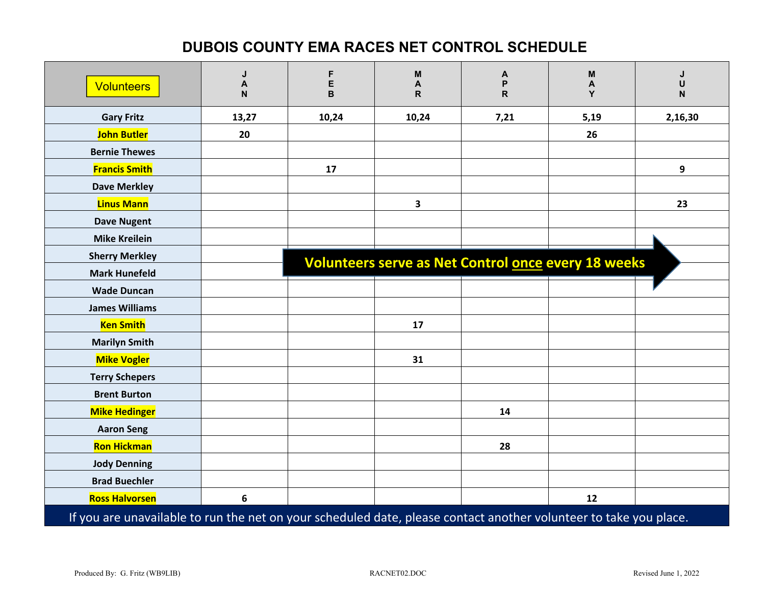## **DUBOIS COUNTY EMA RACES NET CONTROL SCHEDULE**

| <b>Volunteers</b>                                                                                                 | J<br>$\boldsymbol{\mathsf{A}}$<br>N | F<br>E<br>B | M<br>A<br>$\mathsf{R}$                                     | A<br>P<br>$\mathsf{R}$ | M<br>A<br>Y | J<br>U<br>N |  |
|-------------------------------------------------------------------------------------------------------------------|-------------------------------------|-------------|------------------------------------------------------------|------------------------|-------------|-------------|--|
| <b>Gary Fritz</b>                                                                                                 | 13,27                               | 10,24       | 10,24                                                      | 7,21                   | 5,19        | 2,16,30     |  |
| <b>John Butler</b>                                                                                                | 20                                  |             |                                                            |                        | 26          |             |  |
| <b>Bernie Thewes</b>                                                                                              |                                     |             |                                                            |                        |             |             |  |
| <b>Francis Smith</b>                                                                                              |                                     | 17          |                                                            |                        |             | 9           |  |
| <b>Dave Merkley</b>                                                                                               |                                     |             |                                                            |                        |             |             |  |
| <b>Linus Mann</b>                                                                                                 |                                     |             | $\overline{\mathbf{3}}$                                    |                        |             | 23          |  |
| <b>Dave Nugent</b>                                                                                                |                                     |             |                                                            |                        |             |             |  |
| <b>Mike Kreilein</b>                                                                                              |                                     |             |                                                            |                        |             |             |  |
| <b>Sherry Merkley</b>                                                                                             |                                     |             | <b>Volunteers serve as Net Control once every 18 weeks</b> |                        |             |             |  |
| <b>Mark Hunefeld</b>                                                                                              |                                     |             |                                                            |                        |             |             |  |
| <b>Wade Duncan</b>                                                                                                |                                     |             |                                                            |                        |             |             |  |
| <b>James Williams</b>                                                                                             |                                     |             |                                                            |                        |             |             |  |
| <b>Ken Smith</b>                                                                                                  |                                     |             | 17                                                         |                        |             |             |  |
| <b>Marilyn Smith</b>                                                                                              |                                     |             |                                                            |                        |             |             |  |
| <b>Mike Vogler</b>                                                                                                |                                     |             | 31                                                         |                        |             |             |  |
| <b>Terry Schepers</b>                                                                                             |                                     |             |                                                            |                        |             |             |  |
| <b>Brent Burton</b>                                                                                               |                                     |             |                                                            |                        |             |             |  |
| <b>Mike Hedinger</b>                                                                                              |                                     |             |                                                            | 14                     |             |             |  |
| <b>Aaron Seng</b>                                                                                                 |                                     |             |                                                            |                        |             |             |  |
| <b>Ron Hickman</b>                                                                                                |                                     |             |                                                            | 28                     |             |             |  |
| <b>Jody Denning</b>                                                                                               |                                     |             |                                                            |                        |             |             |  |
| <b>Brad Buechler</b>                                                                                              |                                     |             |                                                            |                        |             |             |  |
| <b>Ross Halvorsen</b>                                                                                             | 6                                   |             |                                                            |                        | 12          |             |  |
| If you are unavailable to run the net on your scheduled date, please contact another volunteer to take you place. |                                     |             |                                                            |                        |             |             |  |